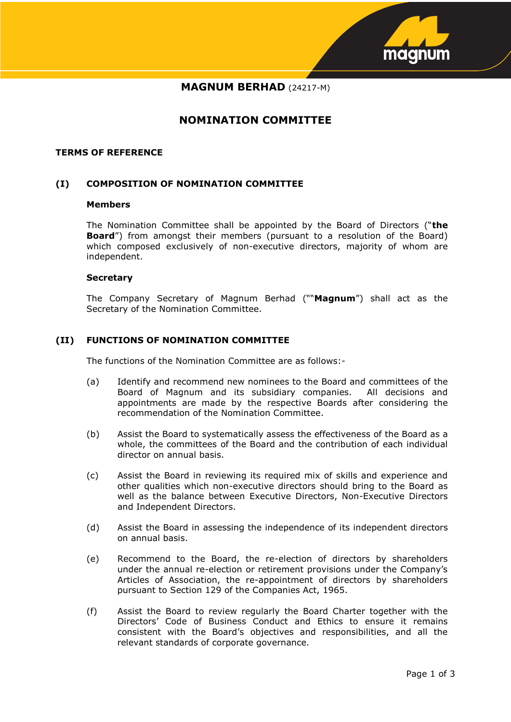

# **MAGNUM BERHAD** (24217-M)

# **NOMINATION COMMITTEE**

#### **TERMS OF REFERENCE**

# **(I) COMPOSITION OF NOMINATION COMMITTEE**

#### **Members**

The Nomination Committee shall be appointed by the Board of Directors ("**the Board**") from amongst their members (pursuant to a resolution of the Board) which composed exclusively of non-executive directors, majority of whom are independent.

#### **Secretary**

The Company Secretary of Magnum Berhad (""**Magnum**") shall act as the Secretary of the Nomination Committee.

#### **(II) FUNCTIONS OF NOMINATION COMMITTEE**

The functions of the Nomination Committee are as follows:-

- (a) Identify and recommend new nominees to the Board and committees of the Board of Magnum and its subsidiary companies. All decisions and appointments are made by the respective Boards after considering the recommendation of the Nomination Committee.
- (b) Assist the Board to systematically assess the effectiveness of the Board as a whole, the committees of the Board and the contribution of each individual director on annual basis.
- (c) Assist the Board in reviewing its required mix of skills and experience and other qualities which non-executive directors should bring to the Board as well as the balance between Executive Directors, Non-Executive Directors and Independent Directors.
- (d) Assist the Board in assessing the independence of its independent directors on annual basis.
- (e) Recommend to the Board, the re-election of directors by shareholders under the annual re-election or retirement provisions under the Company's Articles of Association, the re-appointment of directors by shareholders pursuant to Section 129 of the Companies Act, 1965.
- (f) Assist the Board to review regularly the Board Charter together with the Directors' Code of Business Conduct and Ethics to ensure it remains consistent with the Board's objectives and responsibilities, and all the relevant standards of corporate governance.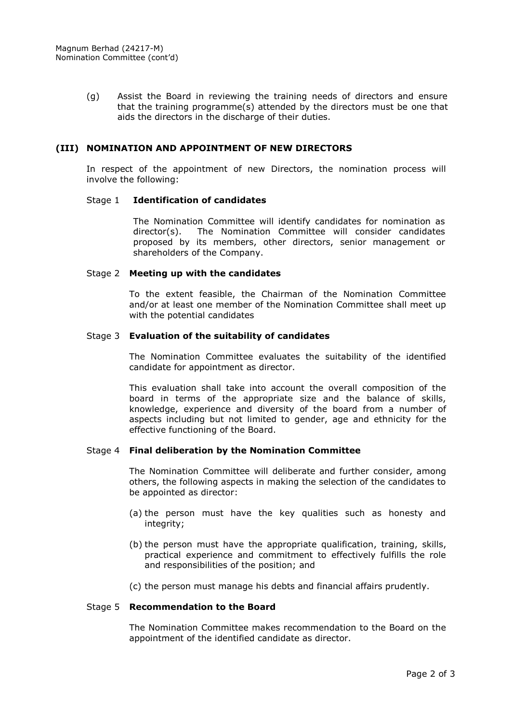(g) Assist the Board in reviewing the training needs of directors and ensure that the training programme(s) attended by the directors must be one that aids the directors in the discharge of their duties.

## **(III) NOMINATION AND APPOINTMENT OF NEW DIRECTORS**

In respect of the appointment of new Directors, the nomination process will involve the following:

#### Stage 1 **Identification of candidates**

The Nomination Committee will identify candidates for nomination as director(s). The Nomination Committee will consider candidates proposed by its members, other directors, senior management or shareholders of the Company.

#### Stage 2 **Meeting up with the candidates**

To the extent feasible, the Chairman of the Nomination Committee and/or at least one member of the Nomination Committee shall meet up with the potential candidates

#### Stage 3 **Evaluation of the suitability of candidates**

The Nomination Committee evaluates the suitability of the identified candidate for appointment as director.

This evaluation shall take into account the overall composition of the board in terms of the appropriate size and the balance of skills, knowledge, experience and diversity of the board from a number of aspects including but not limited to gender, age and ethnicity for the effective functioning of the Board.

### Stage 4 **Final deliberation by the Nomination Committee**

The Nomination Committee will deliberate and further consider, among others, the following aspects in making the selection of the candidates to be appointed as director:

- (a) the person must have the key qualities such as honesty and integrity;
- (b) the person must have the appropriate qualification, training, skills, practical experience and commitment to effectively fulfills the role and responsibilities of the position; and
- (c) the person must manage his debts and financial affairs prudently.

# Stage 5 **Recommendation to the Board**

The Nomination Committee makes recommendation to the Board on the appointment of the identified candidate as director.